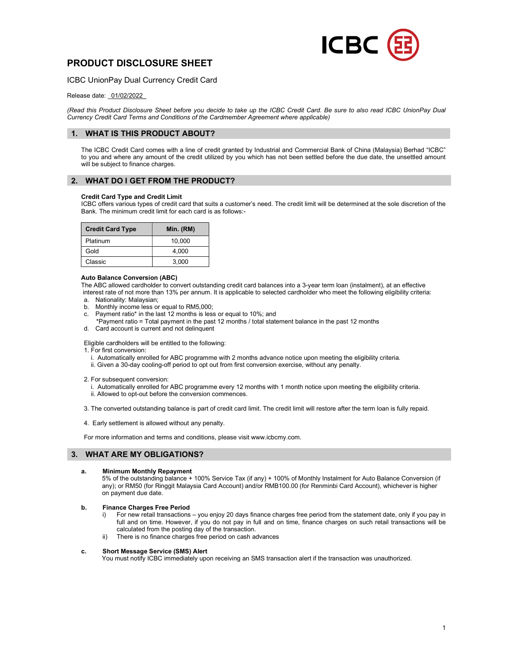

# PRODUCT DISCLOSURE SHEET

ICBC UnionPay Dual Currency Credit Card

# Release date: \_01/02/2022\_

(Read this Product Disclosure Sheet before you decide to take up the ICBC Credit Card. Be sure to also read ICBC UnionPay Dual Currency Credit Card Terms and Conditions of the Cardmember Agreement where applicable)

# 1. WHAT IS THIS PRODUCT ABOUT?

The ICBC Credit Card comes with a line of credit granted by Industrial and Commercial Bank of China (Malaysia) Berhad "ICBC" to you and where any amount of the credit utilized by you which has not been settled before the due date, the unsettled amount will be subject to finance charges.

# 2. WHAT DO I GET FROM THE PRODUCT?

## Credit Card Type and Credit Limit

ICBC offers various types of credit card that suits a customer's need. The credit limit will be determined at the sole discretion of the Bank. The minimum credit limit for each card is as follows:-

| <b>Credit Card Type</b> | Min. (RM) |
|-------------------------|-----------|
| Platinum                | 10,000    |
| Gold                    | 4.000     |
| Classic                 | 3.000     |

## Auto Balance Conversion (ABC)

 The ABC allowed cardholder to convert outstanding credit card balances into a 3-year term loan (instalment), at an effective interest rate of not more than 13% per annum. It is applicable to selected cardholder who meet the following eligibility criteria:

- a. Nationality: Malaysian; b. Monthly income less or equal to RM5,000;
- c. Payment ratio\* in the last 12 months is less or equal to 10%; and
- \*Payment ratio = Total payment in the past 12 months / total statement balance in the past 12 months d. Card account is current and not delinquent

## Eligible cardholders will be entitled to the following:

1. For first conversion:

- i. Automatically enrolled for ABC programme with 2 months advance notice upon meeting the eligibility criteria.
- ii. Given a 30-day cooling-off period to opt out from first conversion exercise, without any penalty.

2. For subsequent conversion:

 i. Automatically enrolled for ABC programme every 12 months with 1 month notice upon meeting the eligibility criteria. ii. Allowed to opt-out before the conversion commences.

- 3. The converted outstanding balance is part of credit card limit. The credit limit will restore after the term loan is fully repaid.
- 4. Early settlement is allowed without any penalty.

For more information and terms and conditions, please visit www.icbcmy.com.

# 3. WHAT ARE MY OBLIGATIONS?

## a. Minimum Monthly Repayment

 5% of the outstanding balance + 100% Service Tax (if any) + 100% of Monthly Instalment for Auto Balance Conversion (if any); or RM50 (for Ringgit Malaysia Card Account) and/or RMB100.00 (for Renminbi Card Account), whichever is higher on payment due date.

## b. Finance Charges Free Period

- i) For new retail transactions you enjoy 20 days finance charges free period from the statement date, only if you pay in full and on time. However, if you do not pay in full and on time, finance charges on such retail transactions will be calculated from the posting day of the transaction.
- ii) There is no finance charges free period on cash advances

## c. Short Message Service (SMS) Alert

You must notify ICBC immediately upon receiving an SMS transaction alert if the transaction was unauthorized.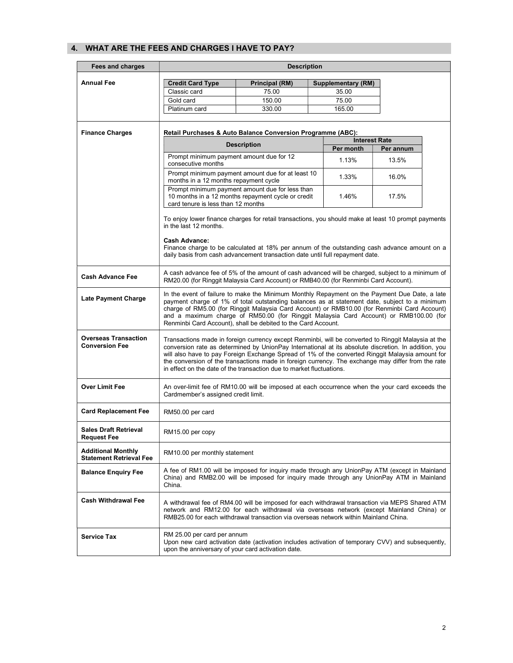# 4. WHAT ARE THE FEES AND CHARGES I HAVE TO PAY?

| Fees and charges                                            | <b>Description</b>                                                                                                                                                                                                                                                                                                                                                                                                                                                                            |                                                                                                       |  |                      |           |  |
|-------------------------------------------------------------|-----------------------------------------------------------------------------------------------------------------------------------------------------------------------------------------------------------------------------------------------------------------------------------------------------------------------------------------------------------------------------------------------------------------------------------------------------------------------------------------------|-------------------------------------------------------------------------------------------------------|--|----------------------|-----------|--|
| <b>Annual Fee</b>                                           | <b>Principal (RM)</b><br><b>Credit Card Type</b><br><b>Supplementary (RM)</b>                                                                                                                                                                                                                                                                                                                                                                                                                 |                                                                                                       |  |                      |           |  |
|                                                             | Classic card                                                                                                                                                                                                                                                                                                                                                                                                                                                                                  | 75.00                                                                                                 |  | 35.00                |           |  |
|                                                             | Gold card                                                                                                                                                                                                                                                                                                                                                                                                                                                                                     | 150.00                                                                                                |  | 75.00                |           |  |
|                                                             | Platinum card                                                                                                                                                                                                                                                                                                                                                                                                                                                                                 | 330.00                                                                                                |  | 165.00               |           |  |
|                                                             |                                                                                                                                                                                                                                                                                                                                                                                                                                                                                               |                                                                                                       |  |                      |           |  |
| <b>Finance Charges</b>                                      | Retail Purchases & Auto Balance Conversion Programme (ABC):                                                                                                                                                                                                                                                                                                                                                                                                                                   |                                                                                                       |  |                      |           |  |
|                                                             |                                                                                                                                                                                                                                                                                                                                                                                                                                                                                               |                                                                                                       |  | <b>Interest Rate</b> |           |  |
|                                                             | <b>Description</b>                                                                                                                                                                                                                                                                                                                                                                                                                                                                            |                                                                                                       |  | Per month            | Per annum |  |
|                                                             | Prompt minimum payment amount due for 12<br>consecutive months                                                                                                                                                                                                                                                                                                                                                                                                                                |                                                                                                       |  | 1.13%                | 13.5%     |  |
|                                                             | months in a 12 months repayment cycle                                                                                                                                                                                                                                                                                                                                                                                                                                                         | Prompt minimum payment amount due for at least 10                                                     |  | 1.33%                | 16.0%     |  |
|                                                             | card tenure is less than 12 months                                                                                                                                                                                                                                                                                                                                                                                                                                                            | Prompt minimum payment amount due for less than<br>10 months in a 12 months repayment cycle or credit |  | 1.46%                | 17.5%     |  |
|                                                             | To enjoy lower finance charges for retail transactions, you should make at least 10 prompt payments<br>in the last 12 months.                                                                                                                                                                                                                                                                                                                                                                 |                                                                                                       |  |                      |           |  |
|                                                             | Cash Advance:<br>Finance charge to be calculated at 18% per annum of the outstanding cash advance amount on a<br>daily basis from cash advancement transaction date until full repayment date.                                                                                                                                                                                                                                                                                                |                                                                                                       |  |                      |           |  |
| <b>Cash Advance Fee</b>                                     | A cash advance fee of 5% of the amount of cash advanced will be charged, subject to a minimum of<br>RM20.00 (for Ringgit Malaysia Card Account) or RMB40.00 (for Renminbi Card Account).                                                                                                                                                                                                                                                                                                      |                                                                                                       |  |                      |           |  |
| Late Payment Charge                                         | In the event of failure to make the Minimum Monthly Repayment on the Payment Due Date, a late<br>payment charge of 1% of total outstanding balances as at statement date, subject to a minimum<br>charge of RM5.00 (for Ringgit Malaysia Card Account) or RMB10.00 (for Renminbi Card Account)<br>and a maximum charge of RM50.00 (for Ringgit Malaysia Card Account) or RMB100.00 (for<br>Renminbi Card Account), shall be debited to the Card Account.                                      |                                                                                                       |  |                      |           |  |
| <b>Overseas Transaction</b><br><b>Conversion Fee</b>        | Transactions made in foreign currency except Renminbi, will be converted to Ringgit Malaysia at the<br>conversion rate as determined by UnionPay International at its absolute discretion. In addition, you<br>will also have to pay Foreign Exchange Spread of 1% of the converted Ringgit Malaysia amount for<br>the conversion of the transactions made in foreign currency. The exchange may differ from the rate<br>in effect on the date of the transaction due to market fluctuations. |                                                                                                       |  |                      |           |  |
| <b>Over Limit Fee</b>                                       | An over-limit fee of RM10.00 will be imposed at each occurrence when the your card exceeds the<br>Cardmember's assigned credit limit.                                                                                                                                                                                                                                                                                                                                                         |                                                                                                       |  |                      |           |  |
| <b>Card Replacement Fee</b>                                 | RM50.00 per card                                                                                                                                                                                                                                                                                                                                                                                                                                                                              |                                                                                                       |  |                      |           |  |
| <b>Sales Draft Retrieval</b><br>Request Fee                 | RM15.00 per copy                                                                                                                                                                                                                                                                                                                                                                                                                                                                              |                                                                                                       |  |                      |           |  |
| <b>Additional Monthly</b><br><b>Statement Retrieval Fee</b> | RM10.00 per monthly statement                                                                                                                                                                                                                                                                                                                                                                                                                                                                 |                                                                                                       |  |                      |           |  |
| <b>Balance Enquiry Fee</b>                                  | A fee of RM1.00 will be imposed for inquiry made through any UnionPay ATM (except in Mainland<br>China) and RMB2.00 will be imposed for inquiry made through any UnionPay ATM in Mainland<br>China.                                                                                                                                                                                                                                                                                           |                                                                                                       |  |                      |           |  |
| <b>Cash Withdrawal Fee</b>                                  | A withdrawal fee of RM4.00 will be imposed for each withdrawal transaction via MEPS Shared ATM<br>network and RM12.00 for each withdrawal via overseas network (except Mainland China) or<br>RMB25.00 for each withdrawal transaction via overseas network within Mainland China.                                                                                                                                                                                                             |                                                                                                       |  |                      |           |  |
| <b>Service Tax</b>                                          | RM 25.00 per card per annum<br>Upon new card activation date (activation includes activation of temporary CVV) and subsequently,<br>upon the anniversary of your card activation date.                                                                                                                                                                                                                                                                                                        |                                                                                                       |  |                      |           |  |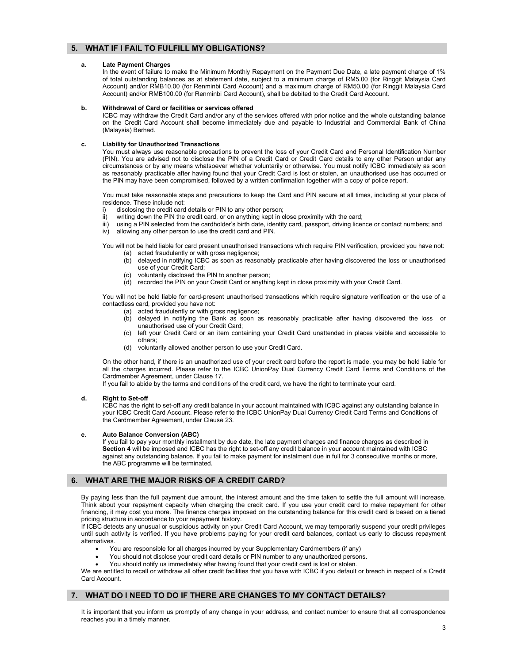# 5. WHAT IF I FAIL TO FULFILL MY OBLIGATIONS?

## a. Late Payment Charges

In the event of failure to make the Minimum Monthly Repayment on the Payment Due Date, a late payment charge of 1% of total outstanding balances as at statement date, subject to a minimum charge of RM5.00 (for Ringgit Malaysia Card Account) and/or RMB10.00 (for Renminbi Card Account) and a maximum charge of RM50.00 (for Ringgit Malaysia Card Account) and/or RMB100.00 (for Renminbi Card Account), shall be debited to the Credit Card Account.

## b. Withdrawal of Card or facilities or services offered

ICBC may withdraw the Credit Card and/or any of the services offered with prior notice and the whole outstanding balance on the Credit Card Account shall become immediately due and payable to Industrial and Commercial Bank of China (Malaysia) Berhad.

## c. Liability for Unauthorized Transactions

You must always use reasonable precautions to prevent the loss of your Credit Card and Personal Identification Number (PIN). You are advised not to disclose the PIN of a Credit Card or Credit Card details to any other Person under any circumstances or by any means whatsoever whether voluntarily or otherwise. You must notify ICBC immediately as soon as reasonably practicable after having found that your Credit Card is lost or stolen, an unauthorised use has occurred or the PIN may have been compromised, followed by a written confirmation together with a copy of police report.

You must take reasonable steps and precautions to keep the Card and PIN secure at all times, including at your place of residence. These include not:

- i) disclosing the credit card details or PIN to any other person;<br>ii) writing down the PIN the credit card, or on anything kept in c
- writing down the PIN the credit card, or on anything kept in close proximity with the card;
- iii) using a PIN selected from the cardholder's birth date, identity card, passport, driving licence or contact numbers; and
- iv) allowing any other person to use the credit card and PIN.

You will not be held liable for card present unauthorised transactions which require PIN verification, provided you have not:

- (a) acted fraudulently or with gross negligence;
	- (b) delayed in notifying ICBC as soon as reasonably practicable after having discovered the loss or unauthorised use of your Credit Card;
	- (c) voluntarily disclosed the PIN to another person;
- (d) recorded the PIN on your Credit Card or anything kept in close proximity with your Credit Card.

You will not be held liable for card-present unauthorised transactions which require signature verification or the use of a contactless card, provided you have not:

- (a) acted fraudulently or with gross negligence;
- (b) delayed in notifying the Bank as soon as reasonably practicable after having discovered the loss or unauthorised use of your Credit Card;
- (c) left your Credit Card or an item containing your Credit Card unattended in places visible and accessible to others;
- (d) voluntarily allowed another person to use your Credit Card.

On the other hand, if there is an unauthorized use of your credit card before the report is made, you may be held liable for all the charges incurred. Please refer to the ICBC UnionPay Dual Currency Credit Card Terms and Conditions of the Cardmember Agreement, under Clause 17.

If you fail to abide by the terms and conditions of the credit card, we have the right to terminate your card.

## d. Right to Set-off

 ICBC has the right to set-off any credit balance in your account maintained with ICBC against any outstanding balance in your ICBC Credit Card Account. Please refer to the ICBC UnionPay Dual Currency Credit Card Terms and Conditions of the Cardmember Agreement, under Clause 23.

## e. Auto Balance Conversion (ABC)

 If you fail to pay your monthly installment by due date, the late payment charges and finance charges as described in Section 4 will be imposed and ICBC has the right to set-off any credit balance in your account maintained with ICBC against any outstanding balance. If you fail to make payment for instalment due in full for 3 consecutive months or more, the ABC programme will be terminated.

# 6. WHAT ARE THE MAJOR RISKS OF A CREDIT CARD?

By paying less than the full payment due amount, the interest amount and the time taken to settle the full amount will increase. Think about your repayment capacity when charging the credit card. If you use your credit card to make repayment for other financing, it may cost you more. The finance charges imposed on the outstanding balance for this credit card is based on a tiered pricing structure in accordance to your repayment history.

If ICBC detects any unusual or suspicious activity on your Credit Card Account, we may temporarily suspend your credit privileges until such activity is verified. If you have problems paying for your credit card balances, contact us early to discuss repayment alternatives.

- You are responsible for all charges incurred by your Supplementary Cardmembers (if any)
- You should not disclose your credit card details or PIN number to any unauthorized persons.
- You should notify us immediately after having found that your credit card is lost or stolen.

We are entitled to recall or withdraw all other credit facilities that you have with ICBC if you default or breach in respect of a Credit Card Account.

# 7. WHAT DO I NEED TO DO IF THERE ARE CHANGES TO MY CONTACT DETAILS?

It is important that you inform us promptly of any change in your address, and contact number to ensure that all correspondence reaches you in a timely manner.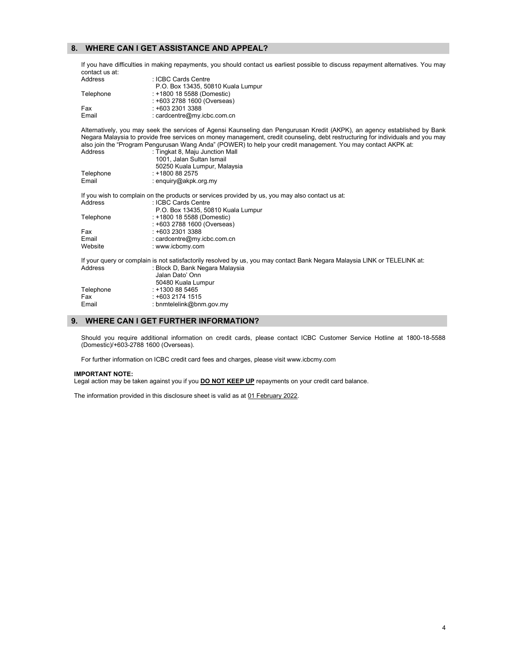# 8. WHERE CAN I GET ASSISTANCE AND APPEAL?

If you have difficulties in making repayments, you should contact us earliest possible to discuss repayment alternatives. You may contact us at:

| Address   | : ICBC Cards Centre                |
|-----------|------------------------------------|
|           | P.O. Box 13435, 50810 Kuala Lumpur |
| Telephone | : +1800 18 5588 (Domestic)         |
|           | : +603 2788 1600 (Overseas)        |
| Fax       | $: +60323013388$                   |
| Email     | : cardcentre@my.icbc.com.cn        |

Alternatively, you may seek the services of Agensi Kaunseling dan Pengurusan Kredit (AKPK), an agency established by Bank Negara Malaysia to provide free services on money management, credit counseling, debt restructuring for individuals and you may also join the "Program Pengurusan Wang Anda" (POWER) to help your credit management. You may contact AKPK at:

| Address   | : Tingkat 8, Maju Junction Mall                                                                                           |
|-----------|---------------------------------------------------------------------------------------------------------------------------|
|           | 1001. Jalan Sultan Ismail                                                                                                 |
|           | 50250 Kuala Lumpur, Malaysia                                                                                              |
| Telephone | $: +1800882575$                                                                                                           |
| Email     | : enquiry@akpk.org.my                                                                                                     |
|           | If you wish to complain on the products or services provided by us, you may also contact us at:                           |
| Address   | : ICBC Cards Centre                                                                                                       |
|           | P.O. Box 13435, 50810 Kuala Lumpur                                                                                        |
| Telephone | : +1800 18 5588 (Domestic)                                                                                                |
|           | : +603 2788 1600 (Overseas)                                                                                               |
| Fax       | $: +60323013388$                                                                                                          |
| Email     | : cardcentre@my.icbc.com.cn                                                                                               |
| Website   | : www.icbcmy.com                                                                                                          |
|           | If your query or complain is not satisfactorily resolved by us, you may contact Bank Negara Malaysia LINK or TELELINK at: |
| Address   | : Block D, Bank Negara Malaysia                                                                                           |
|           | Jalan Dato' Onn                                                                                                           |
|           | 50480 Kuala Lumpur                                                                                                        |
| Telephone | $: +1300885465$                                                                                                           |
| Fax       | $: +60321741515$                                                                                                          |
| Email     | : bnmtelelink@bnm.gov.my                                                                                                  |
|           |                                                                                                                           |

# 9. WHERE CAN I GET FURTHER INFORMATION?

Should you require additional information on credit cards, please contact ICBC Customer Service Hotline at 1800-18-5588 (Domestic)/+603-2788 1600 (Overseas).

For further information on ICBC credit card fees and charges, please visit www.icbcmy.com

#### IMPORTANT NOTE:

Legal action may be taken against you if you **DO NOT KEEP UP** repayments on your credit card balance.

The information provided in this disclosure sheet is valid as at 01 February 2022.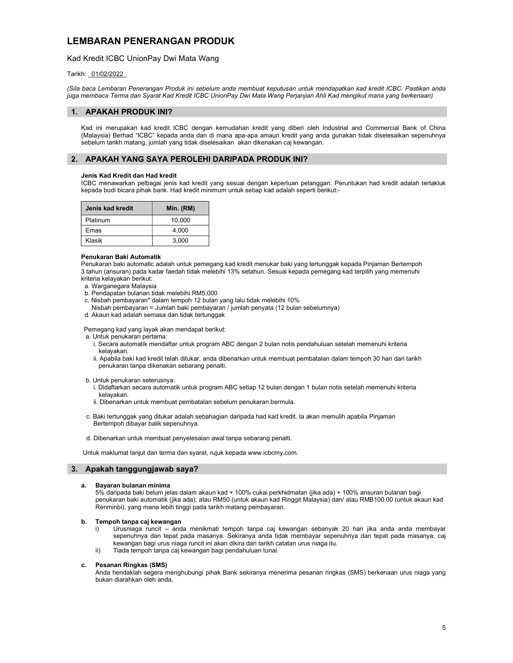# LEMBARAN PENERANGAN PRODUK

# Kad Kredit ICBC UnionPay Dwi Mata Wang

## Tarikh: \_01/02/2022\_

(Sila baca Lembaran Penerangan Produk ini sebelum anda membuat keputusan untuk mendapatkan kad kredit ICBC. Pastikan anda juga membaca Terma dan Syarat Kad Kredit ICBC UnionPay Dwi Mata Wang Perjanjian Ahli Kad mengikut mana yang berkenaan)

# 1. APAKAH PRODUK INI?

Kad ini merupakan kad kredit ICBC dengan kemudahan kredit yang diberi oleh Industrial and Commercial Bank of China (Malaysia) Berhad "ICBC" kepada anda dan di mana apa-apa amaun kredit yang anda gunakan tidak diselesaikan sepenuhnya sebelum tarikh matang, jumlah yang tidak diselesaikan akan dikenakan caj kewangan.

# 2. APAKAH YANG SAYA PEROLEHI DARIPADA PRODUK INI?

## Jenis Kad Kredit dan Had kredit

ICBC menawarkan pelbagai jenis kad kredit yang sesuai dengan keperluan pelanggan. Peruntukan had kredit adalah tertakluk kepada budi bicara pihak bank. Had kredit minimum untuk setiap kad adalah seperti berikut:-

| Jenis kad kredit | Min. (RM) |
|------------------|-----------|
| Platinum         | 10.000    |
| Emas             | 4.000     |
| Klasik           | 3,000     |

## Penukaran Baki Automatik

 Penukaran baki automatic adalah untuk pemegang kad kredit menukar baki yang tertunggak kepada Pinjaman Bertempoh 3 tahun (ansuran) pada kadar faedah tidak melebihi 13% setahun. Sesuai kepada pemegang kad terpilih yang memenuhi kriteria kelayakan berikut:

- a. Warganegara Malaysia
- b. Pendapatan bulanan tidak melebihi RM5,000
- c. Nisbah pembayaran\* dalam tempoh 12 bulan yang lalu tidak melebihi 10%
- Nisbah pembayaran = Jumlah baki pembayaran / jumlah penyata (12 bulan sebelumnya)
- d. Akaun kad adalah semasa dan tidak tertunggak

Pemegang kad yang layak akan mendapat berikut:

a. Untuk penukaran pertama:

- i. Secara automatik mendaftar untuk program ABC dengan 2 bulan notis pendahuluan setelah memenuhi kriteria kelayakan.
- ii. Apabila baki kad kredit telah ditukar, anda dibenarkan untuk membuat pembatalan dalam tempoh 30 hari dari tarikh penukaran tanpa dikenakan sebarang penalti.

b. Untuk penukaran seterusnya:

- i. Didaftarkan secara automatik untuk program ABC setiap 12 bulan dengan 1 bulan notis setelah memenuhi kriteria kelayakan.
- ii. Dibenarkan untuk membuat pembatalan sebelum penukaran bermula.
- c. Baki tertunggak yang ditukar adalah sebahagian daripada had kad kredit. Ia akan memulih apabila Pinjaman Bertempoh dibayar balik sepenuhnya.
- d. Dibenarkan untuk membuat penyelesaian awal tanpa sebarang penalti.

Untuk maklumat lanjut dan terma dan syarat, rujuk kepada www.icbcmy.com.

## 3. Apakah tanggungjawab saya?

## a. Bayaran bulanan minima

5% daripada baki belum jelas dalam akaun kad + 100% cukai perkhidmatan (jika ada) + 100% ansuran bulanan bagi penukaran baki automatik (jika ada); atau RM50 (untuk akaun kad Ringgit Malaysia) dan/ atau RMB100.00 (untuk akaun kad Renminbi), yang mana lebih tinggi pada tarikh matang pembayaran.

## b. Tempoh tanpa caj kewangan

- i) Urusniaga runcit anda menikmati tempoh tanpa caj kewangan sebanyak 20 hari jika anda anda membayar sepenuhnya dan tepat pada masanya. Sekiranya anda tidak membayar sepenuhnya dan tepat pada masanya, caj kewangan bagi urus niaga runcit ini akan dikira dari tarikh catatan urus niaga itu.
- ii) Tiada tempoh tanpa caj kewangan bagi pendahuluan tunai.

## c. Pesanan Ringkas (SMS)

Anda hendaklah segera menghubungi pihak Bank sekiranya menerima pesanan ringkas (SMS) berkenaan urus niaga yang bukan diarahkan oleh anda.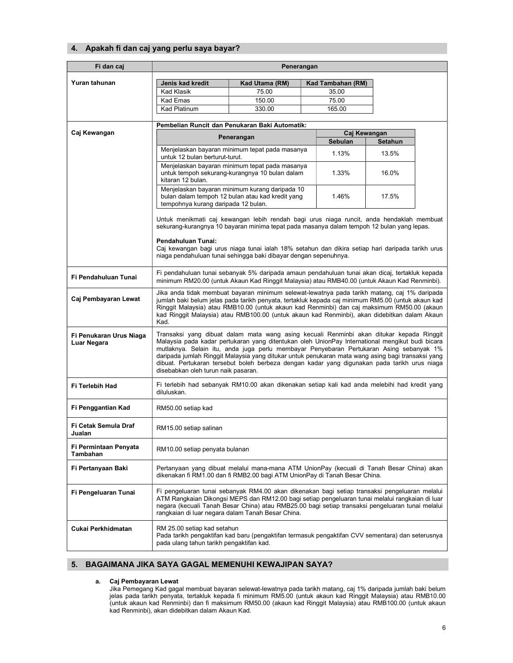# 4. Apakah fi dan caj yang perlu saya bayar?

| Fi dan caj                             | Penerangan                                                                                                                                                                                                                                                                                                                                                                                                                                                                                                                         |                                                                                                    |  |                            |       |  |
|----------------------------------------|------------------------------------------------------------------------------------------------------------------------------------------------------------------------------------------------------------------------------------------------------------------------------------------------------------------------------------------------------------------------------------------------------------------------------------------------------------------------------------------------------------------------------------|----------------------------------------------------------------------------------------------------|--|----------------------------|-------|--|
| Yuran tahunan                          |                                                                                                                                                                                                                                                                                                                                                                                                                                                                                                                                    |                                                                                                    |  |                            |       |  |
|                                        | Jenis kad kredit<br><b>Kad Klasik</b>                                                                                                                                                                                                                                                                                                                                                                                                                                                                                              | Kad Utama (RM)<br>75.00                                                                            |  | Kad Tambahan (RM)<br>35.00 |       |  |
|                                        | Kad Emas                                                                                                                                                                                                                                                                                                                                                                                                                                                                                                                           | 150.00                                                                                             |  | 75.00                      |       |  |
|                                        | Kad Platinum                                                                                                                                                                                                                                                                                                                                                                                                                                                                                                                       | 330.00                                                                                             |  | 165.00                     |       |  |
|                                        |                                                                                                                                                                                                                                                                                                                                                                                                                                                                                                                                    |                                                                                                    |  |                            |       |  |
|                                        | Pembelian Runcit dan Penukaran Baki Automatik:                                                                                                                                                                                                                                                                                                                                                                                                                                                                                     |                                                                                                    |  |                            |       |  |
| Caj Kewangan                           | Caj Kewangan<br>Penerangan                                                                                                                                                                                                                                                                                                                                                                                                                                                                                                         |                                                                                                    |  | <b>Setahun</b>             |       |  |
|                                        |                                                                                                                                                                                                                                                                                                                                                                                                                                                                                                                                    | Menjelaskan bayaran minimum tepat pada masanya                                                     |  | Sebulan                    |       |  |
|                                        | untuk 12 bulan berturut-turut.                                                                                                                                                                                                                                                                                                                                                                                                                                                                                                     |                                                                                                    |  | 1.13%                      | 13.5% |  |
|                                        | kitaran 12 bulan.                                                                                                                                                                                                                                                                                                                                                                                                                                                                                                                  | Menjelaskan bayaran minimum tepat pada masanya<br>untuk tempoh sekurang-kurangnya 10 bulan dalam   |  | 1.33%                      | 16.0% |  |
|                                        | tempohnya kurang daripada 12 bulan.                                                                                                                                                                                                                                                                                                                                                                                                                                                                                                | Menjelaskan bayaran minimum kurang daripada 10<br>bulan dalam tempoh 12 bulan atau kad kredit yang |  | 1.46%                      | 17.5% |  |
|                                        | Untuk menikmati caj kewangan lebih rendah bagi urus niaga runcit, anda hendaklah membuat<br>sekurang-kurangnya 10 bayaran minima tepat pada masanya dalam tempoh 12 bulan yang lepas.                                                                                                                                                                                                                                                                                                                                              |                                                                                                    |  |                            |       |  |
|                                        | Pendahuluan Tunai:<br>Caj kewangan bagi urus niaga tunai ialah 18% setahun dan dikira setiap hari daripada tarikh urus<br>niaga pendahuluan tunai sehingga baki dibayar dengan sepenuhnya.                                                                                                                                                                                                                                                                                                                                         |                                                                                                    |  |                            |       |  |
| Fi Pendahuluan Tunai                   | Fi pendahuluan tunai sebanyak 5% daripada amaun pendahuluan tunai akan dicaj, tertakluk kepada<br>minimum RM20.00 (untuk Akaun Kad Ringgit Malaysia) atau RMB40.00 (untuk Akaun Kad Renminbi).                                                                                                                                                                                                                                                                                                                                     |                                                                                                    |  |                            |       |  |
| Caj Pembayaran Lewat                   | Jika anda tidak membuat bayaran minimum selewat-lewatnya pada tarikh matang, caj 1% daripada<br>jumlah baki belum jelas pada tarikh penyata, tertakluk kepada caj minimum RM5.00 (untuk akaun kad<br>Ringgit Malaysia) atau RMB10.00 (untuk akaun kad Renminbi) dan caj maksimum RM50.00 (akaun<br>kad Ringgit Malaysia) atau RMB100.00 (untuk akaun kad Renminbi), akan didebitkan dalam Akaun<br>Kad.                                                                                                                            |                                                                                                    |  |                            |       |  |
| Fi Penukaran Urus Niaga<br>Luar Negara | Transaksi yang dibuat dalam mata wang asing kecuali Renminbi akan ditukar kepada Ringgit<br>Malaysia pada kadar pertukaran yang ditentukan oleh UnionPay International mengikut budi bicara<br>mutlaknya. Selain itu, anda juga perlu membayar Penyebaran Pertukaran Asing sebanyak 1%<br>daripada jumlah Ringgit Malaysia yang ditukar untuk penukaran mata wang asing bagi transaksi yang<br>dibuat. Pertukaran tersebut boleh berbeza dengan kadar yang digunakan pada tarikh urus niaga<br>disebabkan oleh turun naik pasaran. |                                                                                                    |  |                            |       |  |
| Fi Terlebih Had                        | Fi terlebih had sebanyak RM10.00 akan dikenakan setiap kali kad anda melebihi had kredit yang<br>diluluskan.                                                                                                                                                                                                                                                                                                                                                                                                                       |                                                                                                    |  |                            |       |  |
| Fi Penggantian Kad                     | RM50.00 setiap kad                                                                                                                                                                                                                                                                                                                                                                                                                                                                                                                 |                                                                                                    |  |                            |       |  |
| Fi Cetak Semula Draf<br>Jualan         | RM15.00 setiap salinan                                                                                                                                                                                                                                                                                                                                                                                                                                                                                                             |                                                                                                    |  |                            |       |  |
| Fi Permintaan Penyata<br>Tambahan      | RM10.00 setiap penyata bulanan                                                                                                                                                                                                                                                                                                                                                                                                                                                                                                     |                                                                                                    |  |                            |       |  |
| Fi Pertanyaan Baki                     | Pertanyaan yang dibuat melalui mana-mana ATM UnionPay (kecuali di Tanah Besar China) akan<br>dikenakan fi RM1.00 dan fi RMB2.00 bagi ATM UnionPay di Tanah Besar China.                                                                                                                                                                                                                                                                                                                                                            |                                                                                                    |  |                            |       |  |
| Fi Pengeluaran Tunai                   | Fi pengeluaran tunai sebanyak RM4.00 akan dikenakan bagi setiap transaksi pengeluaran melalui<br>ATM Rangkaian Dikongsi MEPS dan RM12.00 bagi setiap pengeluaran tunai melalui rangkaian di luar<br>negara (kecuali Tanah Besar China) atau RMB25.00 bagi setiap transaksi pengeluaran tunai melalui<br>rangkaian di luar negara dalam Tanah Besar China.                                                                                                                                                                          |                                                                                                    |  |                            |       |  |
| Cukai Perkhidmatan                     | RM 25.00 setiap kad setahun<br>Pada tarikh pengaktifan kad baru (pengaktifan termasuk pengaktifan CVV sementara) dan seterusnya<br>pada ulang tahun tarikh pengaktifan kad.                                                                                                                                                                                                                                                                                                                                                        |                                                                                                    |  |                            |       |  |

# 5. BAGAIMANA JIKA SAYA GAGAL MEMENUHI KEWAJIPAN SAYA?

## a. Caj Pembayaran Lewat

Jika Pemegang Kad gagal membuat bayaran selewat-lewatnya pada tarikh matang, caj 1% daripada jumlah baki belum jelas pada tarikh penyata, tertakluk kepada fi minimum RM5.00 (untuk akaun kad Ringgit Malaysia) atau RMB10.00 (untuk akaun kad Renminbi) dan fi maksimum RM50.00 (akaun kad Ringgit Malaysia) atau RMB100.00 (untuk akaun kad Renminbi), akan didebitkan dalam Akaun Kad.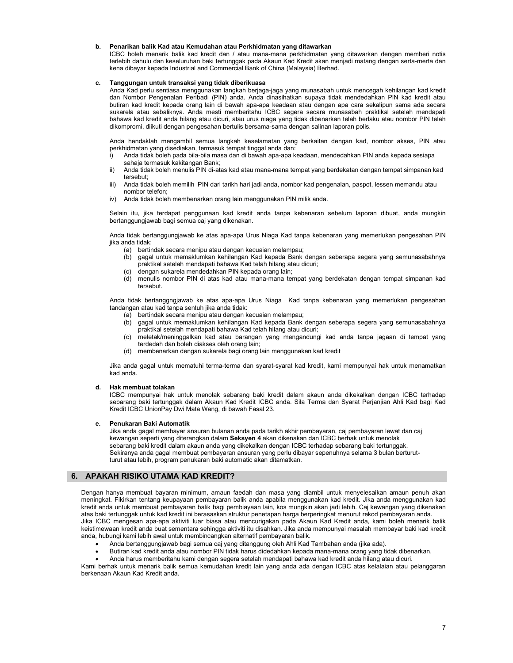#### b. Penarikan balik Kad atau Kemudahan atau Perkhidmatan yang ditawarkan

ICBC boleh menarik balik kad kredit dan / atau mana-mana perkhidmatan yang ditawarkan dengan memberi notis terlebih dahulu dan keseluruhan baki tertunggak pada Akaun Kad Kredit akan menjadi matang dengan serta-merta dan kena dibayar kepada Industrial and Commercial Bank of China (Malaysia) Berhad.

#### c. Tanggungan untuk transaksi yang tidak diberikuasa

Anda Kad perlu sentiasa menggunakan langkah berjaga-jaga yang munasabah untuk mencegah kehilangan kad kredit dan Nombor Pengenalan Peribadi (PIN) anda. Anda dinasihatkan supaya tidak mendedahkan PIN kad kredit atau butiran kad kredit kepada orang lain di bawah apa-apa keadaan atau dengan apa cara sekalipun sama ada secara sukarela atau sebaliknya. Anda mesti memberitahu ICBC segera secara munasabah praktikal setelah mendapati bahawa kad kredit anda hilang atau dicuri, atau urus niaga yang tidak dibenarkan telah berlaku atau nombor PIN telah dikompromi, diikuti dengan pengesahan bertulis bersama-sama dengan salinan laporan polis.

Anda hendaklah mengambil semua langkah keselamatan yang berkaitan dengan kad, nombor akses, PIN atau perkhidmatan yang disediakan, termasuk tempat tinggal anda dan:

- i) Anda tidak boleh pada bila-bila masa dan di bawah apa-apa keadaan, mendedahkan PIN anda kepada sesiapa sahaja termasuk kakitangan Bank;
- ii) Anda tidak boleh menulis PIN di-atas kad atau mana-mana tempat yang berdekatan dengan tempat simpanan kad tersebut;
- iii) Anda tidak boleh memilih PIN dari tarikh hari jadi anda, nombor kad pengenalan, paspot, lessen memandu atau nombor telefon;
- iv) Anda tidak boleh membenarkan orang lain menggunakan PIN milik anda.

Selain itu, jika terdapat penggunaan kad kredit anda tanpa kebenaran sebelum laporan dibuat, anda mungkin bertanggungjawab bagi semua caj yang dikenakan.

Anda tidak bertanggungjawab ke atas apa-apa Urus Niaga Kad tanpa kebenaran yang memerlukan pengesahan PIN jika anda tidak:

- (a) bertindak secara menipu atau dengan kecuaian melampau;
- (b) gagal untuk memaklumkan kehilangan Kad kepada Bank dengan seberapa segera yang semunasabahnya praktikal setelah mendapati bahawa Kad telah hilang atau dicuri;
- (c) dengan sukarela mendedahkan PIN kepada orang lain;
- (d) menulis nombor PIN di atas kad atau mana-mana tempat yang berdekatan dengan tempat simpanan kad tersebut.

Anda tidak bertanggngjawab ke atas apa-apa Urus Niaga Kad tanpa kebenaran yang memerlukan pengesahan tandangan atau kad tanpa sentuh jika anda tidak:

- (a) bertindak secara menipu atau dengan kecuaian melampau;
- (b) gagal untuk memaklumkan kehilangan Kad kepada Bank dengan seberapa segera yang semunasabahnya praktikal setelah mendapati bahawa Kad telah hilang atau dicuri;
- (c) meletak/meninggalkan kad atau barangan yang mengandungi kad anda tanpa jagaan di tempat yang terdedah dan boleh diakses oleh orang lain;
- membenarkan dengan sukarela bagi orang lain menggunakan kad kredit

Jika anda gagal untuk mematuhi terma-terma dan syarat-syarat kad kredit, kami mempunyai hak untuk menamatkan kad anda.

## d. Hak membuat tolakan

ICBC mempunyai hak untuk menolak sebarang baki kredit dalam akaun anda dikekalkan dengan ICBC terhadap sebarang baki tertunggak dalam Akaun Kad Kredit ICBC anda. Sila Terma dan Syarat Perjanjian Ahli Kad bagi Kad Kredit ICBC UnionPay Dwi Mata Wang, di bawah Fasal 23.

## e. Penukaran Baki Automatik

Jika anda gagal membayar ansuran bulanan anda pada tarikh akhir pembayaran, caj pembayaran lewat dan caj kewangan seperti yang diterangkan dalam Seksyen 4 akan dikenakan dan ICBC berhak untuk menolak sebarang baki kredit dalam akaun anda yang dikekalkan dengan ICBC terhadap sebarang baki tertunggak. Sekiranya anda gagal membuat pembayaran ansuran yang perlu dibayar sepenuhnya selama 3 bulan berturutturut atau lebih, program penukaran baki automatic akan ditamatkan.

## 6. APAKAH RISIKO UTAMA KAD KREDIT?

Dengan hanya membuat bayaran minimum, amaun faedah dan masa yang diambil untuk menyelesaikan amaun penuh akan meningkat. Fikirkan tentang keupayaan pembayaran balik anda apabila menggunakan kad kredit. Jika anda menggunakan kad kredit anda untuk membuat pembayaran balik bagi pembiayaan lain, kos mungkin akan jadi lebih. Caj kewangan yang dikenakan atas baki tertunggak untuk kad kredit ini berasaskan struktur penetapan harga berperingkat menurut rekod pembayaran anda. Jika ICBC mengesan apa-apa aktiviti luar biasa atau mencurigakan pada Akaun Kad Kredit anda, kami boleh menarik balik keistimewaan kredit anda buat sementara sehingga aktiviti itu disahkan. Jika anda mempunyai masalah membayar baki kad kredit anda, hubungi kami lebih awal untuk membincangkan alternatif pembayaran balik.

- Anda bertanggungjawab bagi semua caj yang ditanggung oleh Ahli Kad Tambahan anda (jika ada).
- Butiran kad kredit anda atau nombor PIN tidak harus didedahkan kepada mana-mana orang yang tidak dibenarkan.
- Anda harus memberitahu kami dengan segera setelah mendapati bahawa kad kredit anda hilang atau dicuri.

Kami berhak untuk menarik balik semua kemudahan kredit lain yang anda ada dengan ICBC atas kelalaian atau pelanggaran berkenaan Akaun Kad Kredit anda.